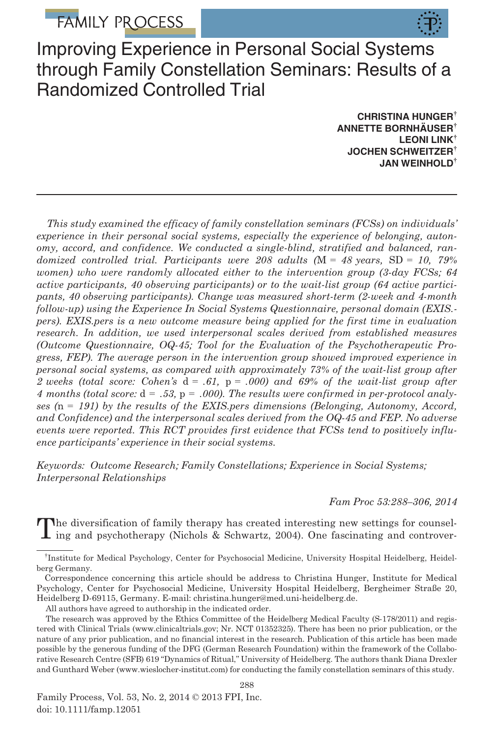

# Improving Experience in Personal Social Systems through Family Constellation Seminars: Results of a Randomized Controlled Trial

CHRISTINA HUNGER† ANNETTE BORNHÄUSER<sup>†</sup> LEONI LINK† JOCHEN SCHWEITZER† JAN WEINHOLD†

This study examined the efficacy of family constellation seminars (FCSs) on individuals' experience in their personal social systems, especially the experience of belonging, autonomy, accord, and confidence. We conducted a single-blind, stratified and balanced, randomized controlled trial. Participants were 208 adults ( $M = 48$  years,  $SD = 10$ , 79% women) who were randomly allocated either to the intervention group (3-day FCSs; 64 active participants, 40 observing participants) or to the wait-list group (64 active participants, 40 observing participants). Change was measured short-term (2-week and 4-month follow-up) using the Experience In Social Systems Questionnaire, personal domain (EXIS. pers). EXIS.pers is a new outcome measure being applied for the first time in evaluation research. In addition, we used interpersonal scales derived from established measures (Outcome Questionnaire, OQ-45; Tool for the Evaluation of the Psychotherapeutic Progress, FEP). The average person in the intervention group showed improved experience in personal social systems, as compared with approximately 73% of the wait-list group after 2 weeks (total score: Cohen's  $d = .61$ ,  $p = .000$ ) and 69% of the wait-list group after 4 months (total score:  $d = .53$ ,  $p = .000$ ). The results were confirmed in per-protocol analyses  $(n = 191)$  by the results of the EXIS pers dimensions (Belonging, Autonomy, Accord, and Confidence) and the interpersonal scales derived from the OQ-45 and FEP. No adverse events were reported. This RCT provides first evidence that FCSs tend to positively influence participants' experience in their social systems.

Keywords: Outcome Research; Family Constellations; Experience in Social Systems; Interpersonal Relationships

Fam Proc 53:288–306, 2014

The diversification of family therapy has created interesting new settings for counseling and psychotherapy (Nichols & Schwartz, 2004). One fascinating and controver-

All authors have agreed to authorship in the indicated order.

288

Family Process, Vol. 53, No. 2, 2014 © 2013 FPI, Inc. doi: 10.1111/famp.12051

<sup>†</sup> Institute for Medical Psychology, Center for Psychosocial Medicine, University Hospital Heidelberg, Heidelberg Germany.

Correspondence concerning this article should be address to Christina Hunger, Institute for Medical Psychology, Center for Psychosocial Medicine, University Hospital Heidelberg, Bergheimer Straße 20, Heidelberg D-69115, Germany. E-mail: christina.hunger@med.uni-heidelberg.de.

The research was approved by the Ethics Committee of the Heidelberg Medical Faculty (S-178/2011) and registered with Clinical Trials (www.clinicaltrials.gov; Nr. NCT 01352325). There has been no prior publication, or the nature of any prior publication, and no financial interest in the research. Publication of this article has been made possible by the generous funding of the DFG (German Research Foundation) within the framework of the Collaborative Research Centre (SFB) 619 "Dynamics of Ritual," University of Heidelberg. The authors thank Diana Drexler and Gunthard Weber (www.wieslocher-institut.com) for conducting the family constellation seminars of this study.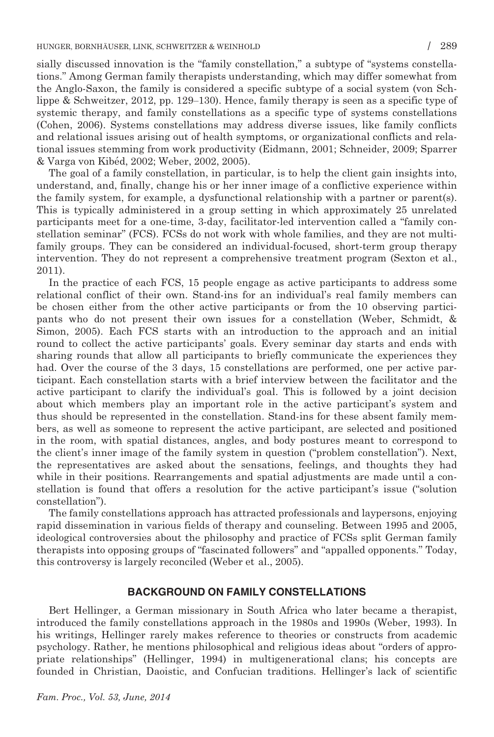sially discussed innovation is the "family constellation," a subtype of "systems constellations." Among German family therapists understanding, which may differ somewhat from the Anglo-Saxon, the family is considered a specific subtype of a social system (von Schlippe & Schweitzer, 2012, pp. 129–130). Hence, family therapy is seen as a specific type of systemic therapy, and family constellations as a specific type of systems constellations (Cohen, 2006). Systems constellations may address diverse issues, like family conflicts and relational issues arising out of health symptoms, or organizational conflicts and relational issues stemming from work productivity (Eidmann, 2001; Schneider, 2009; Sparrer & Varga von Kibe´d, 2002; Weber, 2002, 2005).

The goal of a family constellation, in particular, is to help the client gain insights into, understand, and, finally, change his or her inner image of a conflictive experience within the family system, for example, a dysfunctional relationship with a partner or parent(s). This is typically administered in a group setting in which approximately 25 unrelated participants meet for a one-time, 3-day, facilitator-led intervention called a "family constellation seminar" (FCS). FCSs do not work with whole families, and they are not multifamily groups. They can be considered an individual-focused, short-term group therapy intervention. They do not represent a comprehensive treatment program (Sexton et al., 2011).

In the practice of each FCS, 15 people engage as active participants to address some relational conflict of their own. Stand-ins for an individual's real family members can be chosen either from the other active participants or from the 10 observing participants who do not present their own issues for a constellation (Weber, Schmidt, & Simon, 2005). Each FCS starts with an introduction to the approach and an initial round to collect the active participants' goals. Every seminar day starts and ends with sharing rounds that allow all participants to briefly communicate the experiences they had. Over the course of the 3 days, 15 constellations are performed, one per active participant. Each constellation starts with a brief interview between the facilitator and the active participant to clarify the individual's goal. This is followed by a joint decision about which members play an important role in the active participant's system and thus should be represented in the constellation. Stand-ins for these absent family members, as well as someone to represent the active participant, are selected and positioned in the room, with spatial distances, angles, and body postures meant to correspond to the client's inner image of the family system in question ("problem constellation"). Next, the representatives are asked about the sensations, feelings, and thoughts they had while in their positions. Rearrangements and spatial adjustments are made until a constellation is found that offers a resolution for the active participant's issue ("solution constellation").

The family constellations approach has attracted professionals and laypersons, enjoying rapid dissemination in various fields of therapy and counseling. Between 1995 and 2005, ideological controversies about the philosophy and practice of FCSs split German family therapists into opposing groups of "fascinated followers" and "appalled opponents." Today, this controversy is largely reconciled (Weber et al., 2005).

### BACKGROUND ON FAMILY CONSTELLATIONS

Bert Hellinger, a German missionary in South Africa who later became a therapist, introduced the family constellations approach in the 1980s and 1990s (Weber, 1993). In his writings, Hellinger rarely makes reference to theories or constructs from academic psychology. Rather, he mentions philosophical and religious ideas about "orders of appropriate relationships" (Hellinger, 1994) in multigenerational clans; his concepts are founded in Christian, Daoistic, and Confucian traditions. Hellinger's lack of scientific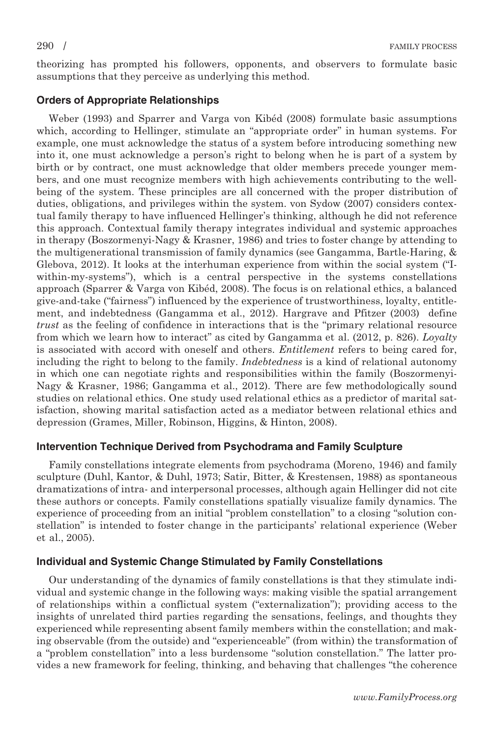theorizing has prompted his followers, opponents, and observers to formulate basic assumptions that they perceive as underlying this method.

# Orders of Appropriate Relationships

Weber (1993) and Sparrer and Varga von Kibéd (2008) formulate basic assumptions which, according to Hellinger, stimulate an "appropriate order" in human systems. For example, one must acknowledge the status of a system before introducing something new into it, one must acknowledge a person's right to belong when he is part of a system by birth or by contract, one must acknowledge that older members precede younger members, and one must recognize members with high achievements contributing to the wellbeing of the system. These principles are all concerned with the proper distribution of duties, obligations, and privileges within the system. von Sydow (2007) considers contextual family therapy to have influenced Hellinger's thinking, although he did not reference this approach. Contextual family therapy integrates individual and systemic approaches in therapy (Boszormenyi-Nagy & Krasner, 1986) and tries to foster change by attending to the multigenerational transmission of family dynamics (see Gangamma, Bartle-Haring, & Glebova, 2012). It looks at the interhuman experience from within the social system ("Iwithin-my-systems"), which is a central perspective in the systems constellations approach (Sparrer & Varga von Kibe´d, 2008). The focus is on relational ethics, a balanced give-and-take ("fairness") influenced by the experience of trustworthiness, loyalty, entitlement, and indebtedness (Gangamma et al., 2012). Hargrave and Pfitzer (2003) define trust as the feeling of confidence in interactions that is the "primary relational resource from which we learn how to interact" as cited by Gangamma et al. (2012, p. 826). Loyalty is associated with accord with oneself and others. Entitlement refers to being cared for, including the right to belong to the family. Indebtedness is a kind of relational autonomy in which one can negotiate rights and responsibilities within the family (Boszormenyi-Nagy & Krasner, 1986; Gangamma et al., 2012). There are few methodologically sound studies on relational ethics. One study used relational ethics as a predictor of marital satisfaction, showing marital satisfaction acted as a mediator between relational ethics and depression (Grames, Miller, Robinson, Higgins, & Hinton, 2008).

# Intervention Technique Derived from Psychodrama and Family Sculpture

Family constellations integrate elements from psychodrama (Moreno, 1946) and family sculpture (Duhl, Kantor, & Duhl, 1973; Satir, Bitter, & Krestensen, 1988) as spontaneous dramatizations of intra- and interpersonal processes, although again Hellinger did not cite these authors or concepts. Family constellations spatially visualize family dynamics. The experience of proceeding from an initial "problem constellation" to a closing "solution constellation" is intended to foster change in the participants' relational experience (Weber et al., 2005).

# Individual and Systemic Change Stimulated by Family Constellations

Our understanding of the dynamics of family constellations is that they stimulate individual and systemic change in the following ways: making visible the spatial arrangement of relationships within a conflictual system ("externalization"); providing access to the insights of unrelated third parties regarding the sensations, feelings, and thoughts they experienced while representing absent family members within the constellation; and making observable (from the outside) and "experienceable" (from within) the transformation of a "problem constellation" into a less burdensome "solution constellation." The latter provides a new framework for feeling, thinking, and behaving that challenges "the coherence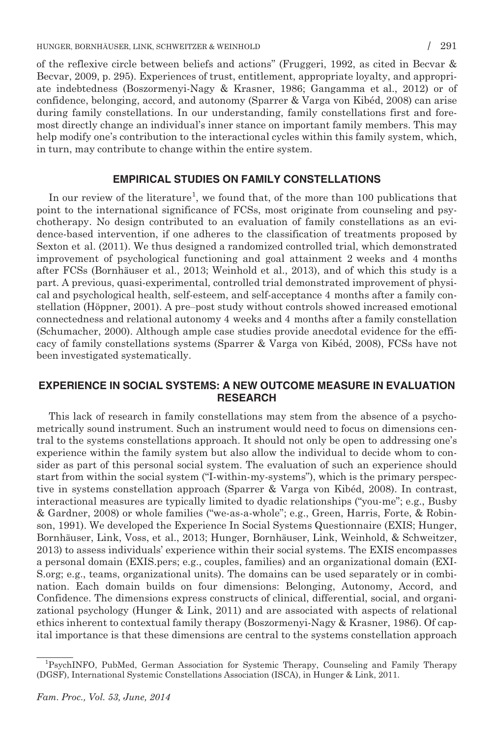of the reflexive circle between beliefs and actions" (Fruggeri, 1992, as cited in Becvar & Becvar, 2009, p. 295). Experiences of trust, entitlement, appropriate loyalty, and appropriate indebtedness (Boszormenyi-Nagy & Krasner, 1986; Gangamma et al., 2012) or of confidence, belonging, accord, and autonomy (Sparrer & Varga von Kibéd, 2008) can arise during family constellations. In our understanding, family constellations first and foremost directly change an individual's inner stance on important family members. This may help modify one's contribution to the interactional cycles within this family system, which, in turn, may contribute to change within the entire system.

### EMPIRICAL STUDIES ON FAMILY CONSTELLATIONS

In our review of the literature<sup>1</sup>, we found that, of the more than 100 publications that point to the international significance of FCSs, most originate from counseling and psychotherapy. No design contributed to an evaluation of family constellations as an evidence-based intervention, if one adheres to the classification of treatments proposed by Sexton et al. (2011). We thus designed a randomized controlled trial, which demonstrated improvement of psychological functioning and goal attainment 2 weeks and 4 months after FCSs (Bornhäuser et al., 2013; Weinhold et al., 2013), and of which this study is a part. A previous, quasi-experimental, controlled trial demonstrated improvement of physical and psychological health, self-esteem, and self-acceptance 4 months after a family constellation (Höppner, 2001). A pre–post study without controls showed increased emotional connectedness and relational autonomy 4 weeks and 4 months after a family constellation (Schumacher, 2000). Although ample case studies provide anecdotal evidence for the efficacy of family constellations systems (Sparrer & Varga von Kibéd, 2008), FCSs have not been investigated systematically.

# EXPERIENCE IN SOCIAL SYSTEMS: A NEW OUTCOME MEASURE IN EVALUATION RESEARCH

This lack of research in family constellations may stem from the absence of a psychometrically sound instrument. Such an instrument would need to focus on dimensions central to the systems constellations approach. It should not only be open to addressing one's experience within the family system but also allow the individual to decide whom to consider as part of this personal social system. The evaluation of such an experience should start from within the social system ("I-within-my-systems"), which is the primary perspective in systems constellation approach (Sparrer & Varga von Kibéd, 2008). In contrast, interactional measures are typically limited to dyadic relationships ("you-me"; e.g., Busby & Gardner, 2008) or whole families ("we-as-a-whole"; e.g., Green, Harris, Forte, & Robinson, 1991). We developed the Experience In Social Systems Questionnaire (EXIS; Hunger, Bornhäuser, Link, Voss, et al., 2013; Hunger, Bornhäuser, Link, Weinhold, & Schweitzer, 2013) to assess individuals' experience within their social systems. The EXIS encompasses a personal domain (EXIS.pers; e.g., couples, families) and an organizational domain (EXI-S.org; e.g., teams, organizational units). The domains can be used separately or in combination. Each domain builds on four dimensions: Belonging, Autonomy, Accord, and Confidence. The dimensions express constructs of clinical, differential, social, and organizational psychology (Hunger & Link, 2011) and are associated with aspects of relational ethics inherent to contextual family therapy (Boszormenyi-Nagy & Krasner, 1986). Of capital importance is that these dimensions are central to the systems constellation approach

<sup>1</sup> PsychINFO, PubMed, German Association for Systemic Therapy, Counseling and Family Therapy (DGSF), International Systemic Constellations Association (ISCA), in Hunger & Link, 2011.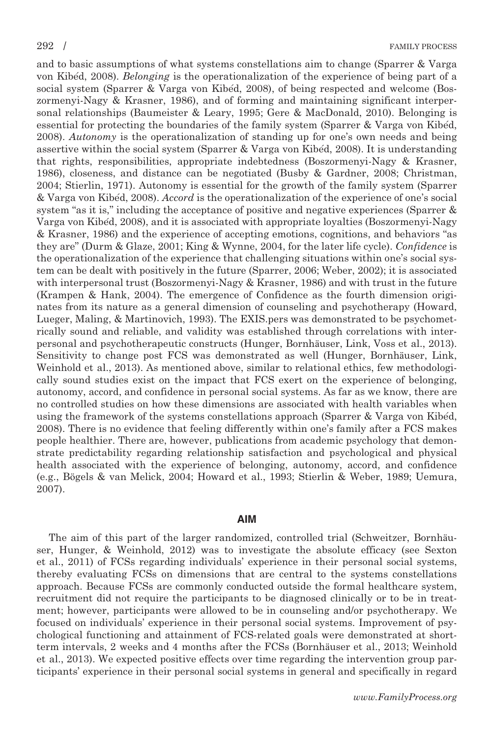and to basic assumptions of what systems constellations aim to change (Sparrer & Varga von Kibed, 2008). Belonging is the operationalization of the experience of being part of a social system (Sparrer & Varga von Kibed, 2008), of being respected and welcome (Boszormenyi-Nagy & Krasner, 1986), and of forming and maintaining significant interpersonal relationships (Baumeister & Leary, 1995; Gere & MacDonald, 2010). Belonging is essential for protecting the boundaries of the family system (Sparrer & Varga von Kibed, 2008). Autonomy is the operationalization of standing up for one's own needs and being assertive within the social system (Sparrer & Varga von Kibed, 2008). It is understanding that rights, responsibilities, appropriate indebtedness (Boszormenyi-Nagy & Krasner, 1986), closeness, and distance can be negotiated (Busby & Gardner, 2008; Christman, 2004; Stierlin, 1971). Autonomy is essential for the growth of the family system (Sparrer & Varga von Kibed, 2008). Accord is the operationalization of the experience of one's social system "as it is," including the acceptance of positive and negative experiences (Sparrer & Varga von Kibed, 2008), and it is associated with appropriate loyalties (Boszormenyi-Nagy & Krasner, 1986) and the experience of accepting emotions, cognitions, and behaviors "as they are" (Durm & Glaze, 2001; King & Wynne, 2004, for the later life cycle). Confidence is the operationalization of the experience that challenging situations within one's social system can be dealt with positively in the future (Sparrer, 2006; Weber, 2002); it is associated with interpersonal trust (Boszormenyi-Nagy & Krasner, 1986) and with trust in the future (Krampen & Hank, 2004). The emergence of Confidence as the fourth dimension originates from its nature as a general dimension of counseling and psychotherapy (Howard, Lueger, Maling, & Martinovich, 1993). The EXIS pers was demonstrated to be psychometrically sound and reliable, and validity was established through correlations with interpersonal and psychotherapeutic constructs (Hunger, Bornhäuser, Link, Voss et al., 2013). Sensitivity to change post FCS was demonstrated as well (Hunger, Bornhäuser, Link, Weinhold et al., 2013). As mentioned above, similar to relational ethics, few methodologically sound studies exist on the impact that FCS exert on the experience of belonging, autonomy, accord, and confidence in personal social systems. As far as we know, there are no controlled studies on how these dimensions are associated with health variables when using the framework of the systems constellations approach (Sparrer & Varga von Kibed, 2008). There is no evidence that feeling differently within one's family after a FCS makes people healthier. There are, however, publications from academic psychology that demonstrate predictability regarding relationship satisfaction and psychological and physical health associated with the experience of belonging, autonomy, accord, and confidence (e.g., Bögels & van Melick, 2004; Howard et al., 1993; Stierlin & Weber, 1989; Uemura, 2007).

### AIM

The aim of this part of the larger randomized, controlled trial (Schweitzer, Bornhäuser, Hunger, & Weinhold, 2012) was to investigate the absolute efficacy (see Sexton et al., 2011) of FCSs regarding individuals' experience in their personal social systems, thereby evaluating FCSs on dimensions that are central to the systems constellations approach. Because FCSs are commonly conducted outside the formal healthcare system, recruitment did not require the participants to be diagnosed clinically or to be in treatment; however, participants were allowed to be in counseling and/or psychotherapy. We focused on individuals' experience in their personal social systems. Improvement of psychological functioning and attainment of FCS-related goals were demonstrated at shortterm intervals, 2 weeks and 4 months after the FCSs (Bornhäuser et al., 2013; Weinhold et al., 2013). We expected positive effects over time regarding the intervention group participants' experience in their personal social systems in general and specifically in regard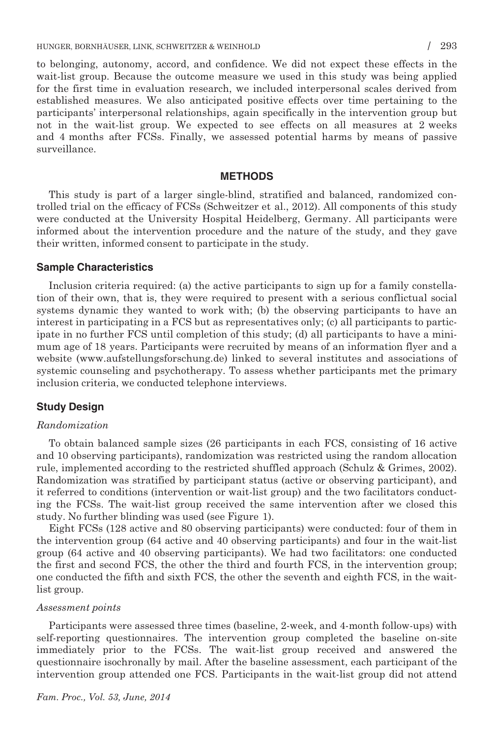to belonging, autonomy, accord, and confidence. We did not expect these effects in the wait-list group. Because the outcome measure we used in this study was being applied for the first time in evaluation research, we included interpersonal scales derived from established measures. We also anticipated positive effects over time pertaining to the participants' interpersonal relationships, again specifically in the intervention group but not in the wait-list group. We expected to see effects on all measures at 2 weeks and 4 months after FCSs. Finally, we assessed potential harms by means of passive surveillance.

#### METHODS

This study is part of a larger single-blind, stratified and balanced, randomized controlled trial on the efficacy of FCSs (Schweitzer et al., 2012). All components of this study were conducted at the University Hospital Heidelberg, Germany. All participants were informed about the intervention procedure and the nature of the study, and they gave their written, informed consent to participate in the study.

#### Sample Characteristics

Inclusion criteria required: (a) the active participants to sign up for a family constellation of their own, that is, they were required to present with a serious conflictual social systems dynamic they wanted to work with; (b) the observing participants to have an interest in participating in a FCS but as representatives only; (c) all participants to participate in no further FCS until completion of this study; (d) all participants to have a minimum age of 18 years. Participants were recruited by means of an information flyer and a website (www.aufstellungsforschung.de) linked to several institutes and associations of systemic counseling and psychotherapy. To assess whether participants met the primary inclusion criteria, we conducted telephone interviews.

### Study Design

#### Randomization

To obtain balanced sample sizes (26 participants in each FCS, consisting of 16 active and 10 observing participants), randomization was restricted using the random allocation rule, implemented according to the restricted shuffled approach (Schulz & Grimes, 2002). Randomization was stratified by participant status (active or observing participant), and it referred to conditions (intervention or wait-list group) and the two facilitators conducting the FCSs. The wait-list group received the same intervention after we closed this study. No further blinding was used (see Figure 1).

Eight FCSs (128 active and 80 observing participants) were conducted: four of them in the intervention group (64 active and 40 observing participants) and four in the wait-list group (64 active and 40 observing participants). We had two facilitators: one conducted the first and second FCS, the other the third and fourth FCS, in the intervention group; one conducted the fifth and sixth FCS, the other the seventh and eighth FCS, in the waitlist group.

#### Assessment points

Participants were assessed three times (baseline, 2-week, and 4-month follow-ups) with self-reporting questionnaires. The intervention group completed the baseline on-site immediately prior to the FCSs. The wait-list group received and answered the questionnaire isochronally by mail. After the baseline assessment, each participant of the intervention group attended one FCS. Participants in the wait-list group did not attend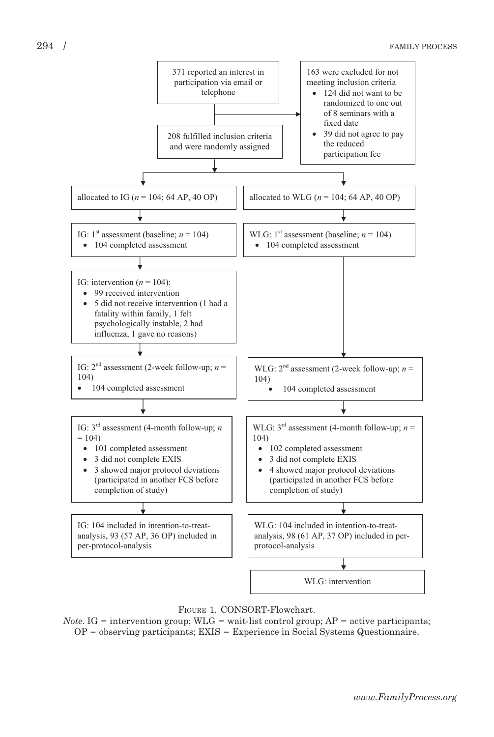



*Note*. IG = intervention group;  $WLG$  = wait-list control group;  $AP$  = active participants; OP = observing participants; EXIS = Experience in Social Systems Questionnaire.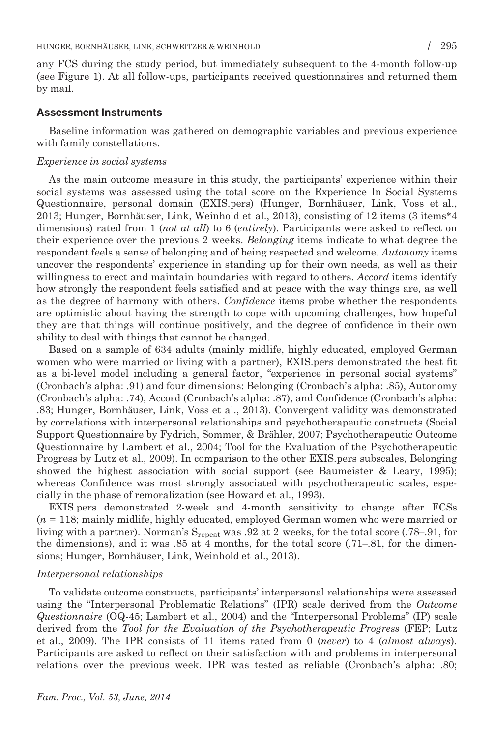any FCS during the study period, but immediately subsequent to the 4-month follow-up (see Figure 1). At all follow-ups, participants received questionnaires and returned them by mail.

#### Assessment Instruments

Baseline information was gathered on demographic variables and previous experience with family constellations.

#### Experience in social systems

As the main outcome measure in this study, the participants' experience within their social systems was assessed using the total score on the Experience In Social Systems Questionnaire, personal domain (EXIS.pers) (Hunger, Bornhäuser, Link, Voss et al., 2013; Hunger, Bornhäuser, Link, Weinhold et al., 2013), consisting of 12 items (3 items\*4 dimensions) rated from 1 (not at all) to 6 (entirely). Participants were asked to reflect on their experience over the previous 2 weeks. Belonging items indicate to what degree the respondent feels a sense of belonging and of being respected and welcome. Autonomy items uncover the respondents' experience in standing up for their own needs, as well as their willingness to erect and maintain boundaries with regard to others. Accord items identify how strongly the respondent feels satisfied and at peace with the way things are, as well as the degree of harmony with others. Confidence items probe whether the respondents are optimistic about having the strength to cope with upcoming challenges, how hopeful they are that things will continue positively, and the degree of confidence in their own ability to deal with things that cannot be changed.

Based on a sample of 634 adults (mainly midlife, highly educated, employed German women who were married or living with a partner), EXIS.pers demonstrated the best fit as a bi-level model including a general factor, "experience in personal social systems" (Cronbach's alpha: .91) and four dimensions: Belonging (Cronbach's alpha: .85), Autonomy (Cronbach's alpha: .74), Accord (Cronbach's alpha: .87), and Confidence (Cronbach's alpha: .83; Hunger, Bornhäuser, Link, Voss et al., 2013). Convergent validity was demonstrated by correlations with interpersonal relationships and psychotherapeutic constructs (Social Support Questionnaire by Fydrich, Sommer, & Brähler, 2007; Psychotherapeutic Outcome Questionnaire by Lambert et al., 2004; Tool for the Evaluation of the Psychotherapeutic Progress by Lutz et al., 2009). In comparison to the other EXIS.pers subscales, Belonging showed the highest association with social support (see Baumeister & Leary, 1995); whereas Confidence was most strongly associated with psychotherapeutic scales, especially in the phase of remoralization (see Howard et al., 1993).

EXIS.pers demonstrated 2-week and 4-month sensitivity to change after FCSs  $(n = 118;$  mainly midlife, highly educated, employed German women who were married or living with a partner). Norman's  $S_{\text{repeat}}$  was .92 at 2 weeks, for the total score (.78–.91, for the dimensions), and it was .85 at 4 months, for the total score (.71–.81, for the dimensions; Hunger, Bornhäuser, Link, Weinhold et al., 2013).

#### Interpersonal relationships

To validate outcome constructs, participants' interpersonal relationships were assessed using the "Interpersonal Problematic Relations" (IPR) scale derived from the Outcome Questionnaire (OQ-45; Lambert et al., 2004) and the "Interpersonal Problems" (IP) scale derived from the Tool for the Evaluation of the Psychotherapeutic Progress (FEP; Lutz et al., 2009). The IPR consists of 11 items rated from 0 (never) to 4 (almost always). Participants are asked to reflect on their satisfaction with and problems in interpersonal relations over the previous week. IPR was tested as reliable (Cronbach's alpha: .80;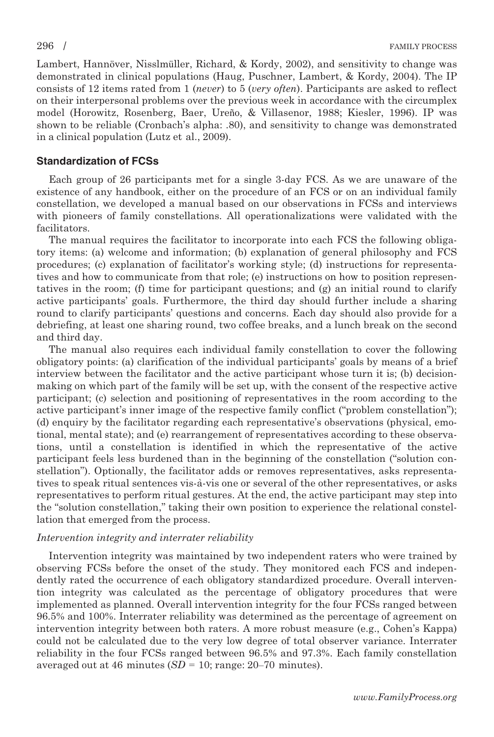Lambert, Hannöver, Nisslmüller, Richard, & Kordy, 2002), and sensitivity to change was demonstrated in clinical populations (Haug, Puschner, Lambert, & Kordy, 2004). The IP consists of 12 items rated from 1 (never) to 5 (very often). Participants are asked to reflect on their interpersonal problems over the previous week in accordance with the circumplex model (Horowitz, Rosenberg, Baer, Ureño, & Villasenor, 1988; Kiesler, 1996). IP was shown to be reliable (Cronbach's alpha: .80), and sensitivity to change was demonstrated in a clinical population (Lutz et al., 2009).

## Standardization of FCSs

Each group of 26 participants met for a single 3-day FCS. As we are unaware of the existence of any handbook, either on the procedure of an FCS or on an individual family constellation, we developed a manual based on our observations in FCSs and interviews with pioneers of family constellations. All operationalizations were validated with the facilitators.

The manual requires the facilitator to incorporate into each FCS the following obligatory items: (a) welcome and information; (b) explanation of general philosophy and FCS procedures; (c) explanation of facilitator's working style; (d) instructions for representatives and how to communicate from that role; (e) instructions on how to position representatives in the room; (f) time for participant questions; and (g) an initial round to clarify active participants' goals. Furthermore, the third day should further include a sharing round to clarify participants' questions and concerns. Each day should also provide for a debriefing, at least one sharing round, two coffee breaks, and a lunch break on the second and third day.

The manual also requires each individual family constellation to cover the following obligatory points: (a) clarification of the individual participants' goals by means of a brief interview between the facilitator and the active participant whose turn it is; (b) decisionmaking on which part of the family will be set up, with the consent of the respective active participant; (c) selection and positioning of representatives in the room according to the active participant's inner image of the respective family conflict ("problem constellation"); (d) enquiry by the facilitator regarding each representative's observations (physical, emotional, mental state); and (e) rearrangement of representatives according to these observations, until a constellation is identified in which the representative of the active participant feels less burdened than in the beginning of the constellation ("solution constellation"). Optionally, the facilitator adds or removes representatives, asks representatives to speak ritual sentences vis-a-vis one or several of the other representatives, or asks representatives to perform ritual gestures. At the end, the active participant may step into the "solution constellation," taking their own position to experience the relational constellation that emerged from the process.

### Intervention integrity and interrater reliability

Intervention integrity was maintained by two independent raters who were trained by observing FCSs before the onset of the study. They monitored each FCS and independently rated the occurrence of each obligatory standardized procedure. Overall intervention integrity was calculated as the percentage of obligatory procedures that were implemented as planned. Overall intervention integrity for the four FCSs ranged between 96.5% and 100%. Interrater reliability was determined as the percentage of agreement on intervention integrity between both raters. A more robust measure (e.g., Cohen's Kappa) could not be calculated due to the very low degree of total observer variance. Interrater reliability in the four FCSs ranged between 96.5% and 97.3%. Each family constellation averaged out at 46 minutes ( $SD = 10$ ; range: 20–70 minutes).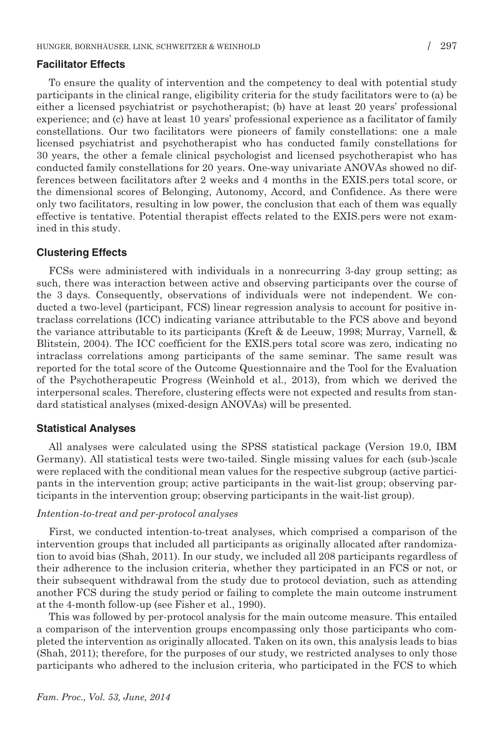#### Facilitator Effects

To ensure the quality of intervention and the competency to deal with potential study participants in the clinical range, eligibility criteria for the study facilitators were to (a) be either a licensed psychiatrist or psychotherapist; (b) have at least 20 years' professional experience; and (c) have at least 10 years' professional experience as a facilitator of family constellations. Our two facilitators were pioneers of family constellations: one a male licensed psychiatrist and psychotherapist who has conducted family constellations for 30 years, the other a female clinical psychologist and licensed psychotherapist who has conducted family constellations for 20 years. One-way univariate ANOVAs showed no differences between facilitators after 2 weeks and 4 months in the EXIS.pers total score, or the dimensional scores of Belonging, Autonomy, Accord, and Confidence. As there were only two facilitators, resulting in low power, the conclusion that each of them was equally effective is tentative. Potential therapist effects related to the EXIS.pers were not examined in this study.

### Clustering Effects

FCSs were administered with individuals in a nonrecurring 3-day group setting; as such, there was interaction between active and observing participants over the course of the 3 days. Consequently, observations of individuals were not independent. We conducted a two-level (participant, FCS) linear regression analysis to account for positive intraclass correlations (ICC) indicating variance attributable to the FCS above and beyond the variance attributable to its participants (Kreft & de Leeuw, 1998; Murray, Varnell, & Blitstein, 2004). The ICC coefficient for the EXIS.pers total score was zero, indicating no intraclass correlations among participants of the same seminar. The same result was reported for the total score of the Outcome Questionnaire and the Tool for the Evaluation of the Psychotherapeutic Progress (Weinhold et al., 2013), from which we derived the interpersonal scales. Therefore, clustering effects were not expected and results from standard statistical analyses (mixed-design ANOVAs) will be presented.

#### Statistical Analyses

All analyses were calculated using the SPSS statistical package (Version 19.0, IBM Germany). All statistical tests were two-tailed. Single missing values for each (sub-)scale were replaced with the conditional mean values for the respective subgroup (active participants in the intervention group; active participants in the wait-list group; observing participants in the intervention group; observing participants in the wait-list group).

### Intention-to-treat and per-protocol analyses

First, we conducted intention-to-treat analyses, which comprised a comparison of the intervention groups that included all participants as originally allocated after randomization to avoid bias (Shah, 2011). In our study, we included all 208 participants regardless of their adherence to the inclusion criteria, whether they participated in an FCS or not, or their subsequent withdrawal from the study due to protocol deviation, such as attending another FCS during the study period or failing to complete the main outcome instrument at the 4-month follow-up (see Fisher et al., 1990).

This was followed by per-protocol analysis for the main outcome measure. This entailed a comparison of the intervention groups encompassing only those participants who completed the intervention as originally allocated. Taken on its own, this analysis leads to bias (Shah, 2011); therefore, for the purposes of our study, we restricted analyses to only those participants who adhered to the inclusion criteria, who participated in the FCS to which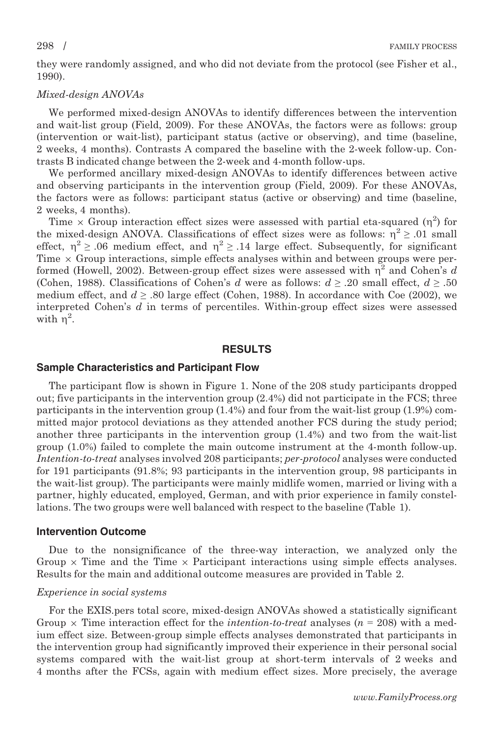they were randomly assigned, and who did not deviate from the protocol (see Fisher et al., 1990).

### Mixed-design ANOVAs

We performed mixed-design ANOVAs to identify differences between the intervention and wait-list group (Field, 2009). For these ANOVAs, the factors were as follows: group (intervention or wait-list), participant status (active or observing), and time (baseline, 2 weeks, 4 months). Contrasts A compared the baseline with the 2-week follow-up. Contrasts B indicated change between the 2-week and 4-month follow-ups.

We performed ancillary mixed-design ANOVAs to identify differences between active and observing participants in the intervention group (Field, 2009). For these ANOVAs, the factors were as follows: participant status (active or observing) and time (baseline, 2 weeks, 4 months).

Time  $\times$  Group interaction effect sizes were assessed with partial eta-squared ( $\eta^2$ ) for mixed-design ANOVA. Classifications of effect sizes were as follows:  $\eta^2 > 01$  small the mixed-design ANOVA. Classifications of effect sizes were as follows:  $\eta^2 \geq .01$  small effect,  $\eta^2 \geq .06$  medium effect, and  $\eta^2 \geq .14$  large effect. Subsequently, for significant Time  $\times$  Group interactions, simple effects analyses within and between groups were performed (Howell, 2002). Between-group effect sizes were assessed with  $\eta^2$  and Cohen's d (Cohen, 1988). Classifications of Cohen's d were as follows:  $d \geq .20$  small effect,  $d \geq .50$ medium effect, and  $d \geq .80$  large effect (Cohen, 1988). In accordance with Coe (2002), we interpreted Cohen's d in terms of percentiles. Within-group effect sizes were assessed with  $\eta^2$ .

### RESULTS

#### Sample Characteristics and Participant Flow

The participant flow is shown in Figure 1. None of the 208 study participants dropped out; five participants in the intervention group  $(2.4\%)$  did not participate in the FCS; three participants in the intervention group (1.4%) and four from the wait-list group (1.9%) committed major protocol deviations as they attended another FCS during the study period; another three participants in the intervention group (1.4%) and two from the wait-list group (1.0%) failed to complete the main outcome instrument at the 4-month follow-up. Intention-to-treat analyses involved 208 participants; per-protocol analyses were conducted for 191 participants (91.8%; 93 participants in the intervention group, 98 participants in the wait-list group). The participants were mainly midlife women, married or living with a partner, highly educated, employed, German, and with prior experience in family constellations. The two groups were well balanced with respect to the baseline (Table 1).

### Intervention Outcome

Due to the nonsignificance of the three-way interaction, we analyzed only the Group  $\times$  Time and the Time  $\times$  Participant interactions using simple effects analyses. Results for the main and additional outcome measures are provided in Table 2.

#### Experience in social systems

For the EXIS.pers total score, mixed-design ANOVAs showed a statistically significant Group  $\times$  Time interaction effect for the *intention-to-treat* analyses ( $n = 208$ ) with a medium effect size. Between-group simple effects analyses demonstrated that participants in the intervention group had significantly improved their experience in their personal social systems compared with the wait-list group at short-term intervals of 2 weeks and 4 months after the FCSs, again with medium effect sizes. More precisely, the average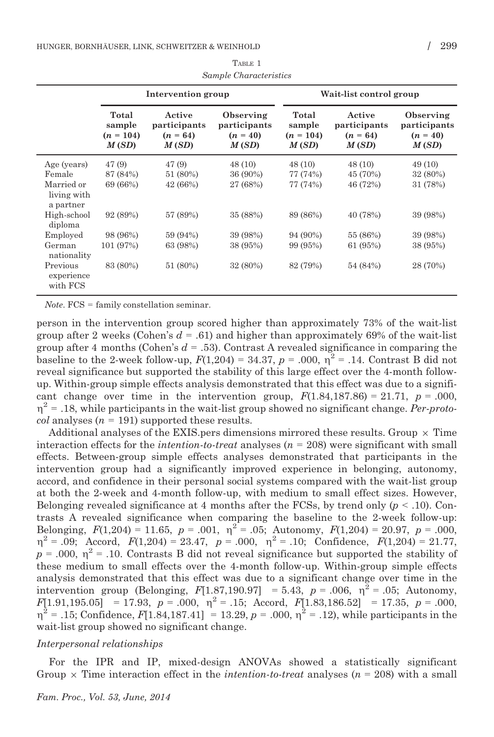|                                        |                                         | Intervention group                            |                                                  | Wait-list control group                 |                                               |                                                  |
|----------------------------------------|-----------------------------------------|-----------------------------------------------|--------------------------------------------------|-----------------------------------------|-----------------------------------------------|--------------------------------------------------|
|                                        | Total<br>sample<br>$(n = 104)$<br>M(SD) | Active<br>participants<br>$(n = 64)$<br>M(SD) | Observing<br>participants<br>$(n = 40)$<br>M(SD) | Total<br>sample<br>$(n = 104)$<br>M(SD) | Active<br>participants<br>$(n = 64)$<br>M(SD) | Observing<br>participants<br>$(n = 40)$<br>M(SD) |
| Age (years)                            | 47 (9)                                  | 47(9)                                         | 48(10)                                           | 48 (10)                                 | 48 (10)                                       | 49(10)                                           |
| Female                                 | 87 (84%)                                | 51 (80%)                                      | 36 (90%)                                         | 77 (74%)                                | 45 (70%)                                      | 32 (80%)                                         |
| Married or<br>living with<br>a partner | 69 (66%)                                | 42 (66%)                                      | 27 (68%)                                         | 77 (74%)                                | 46 (72%)                                      | 31 (78%)                                         |
| High-school<br>diploma                 | 92 (89%)                                | 57 (89%)                                      | 35 (88%)                                         | 89 (86%)                                | 40 (78%)                                      | 39 (98%)                                         |
| Employed                               | 98 (96%)                                | 59 (94%)                                      | 39 (98%)                                         | 94 (90%)                                | 55 (86%)                                      | 39 (98%)                                         |
| German<br>nationality                  | 101 (97%)                               | 63 (98%)                                      | 38 (95%)                                         | 99 (95%)                                | 61 (95%)                                      | 38 (95%)                                         |
| Previous<br>experience<br>with FCS     | 83 (80%)                                | 51 (80%)                                      | 32 (80%)                                         | 82 (79%)                                | 54 (84%)                                      | 28 (70%)                                         |

TABLE 1 Sample Characteristics

 $Note. FCS = family constellation seminar.$ 

person in the intervention group scored higher than approximately 73% of the wait-list group after 2 weeks (Cohen's  $d = .61$ ) and higher than approximately 69% of the wait-list group after 4 months (Cohen's  $d = .53$ ). Contrast A revealed significance in comparing the baseline to the 2-week follow-up,  $F(1,204) = 34.37$ ,  $p = .000$ ,  $\eta^2 = .14$ . Contrast B did not reveal significance but supported the stability of this large effect over the 4-month followup. Within-group simple effects analysis demonstrated that this effect was due to a significant change over time in the intervention group,  $F(1.84,187.86) = 21.71$ ,  $p = .000$ ,  $\eta^2$  = .18, while participants in the wait-list group showed no significant change. Per-proto $col$  analyses ( $n = 191$ ) supported these results.

Additional analyses of the EXIS.pers dimensions mirrored these results. Group  $\times$  Time interaction effects for the *intention-to-treat* analyses ( $n = 208$ ) were significant with small effects. Between-group simple effects analyses demonstrated that participants in the intervention group had a significantly improved experience in belonging, autonomy, accord, and confidence in their personal social systems compared with the wait-list group at both the 2-week and 4-month follow-up, with medium to small effect sizes. However, Belonging revealed significance at 4 months after the FCSs, by trend only  $(p < .10)$ . Contrasts A revealed significance when comparing the baseline to the 2-week follow-up: Belonging,  $F(1,204) = 11.65$ ,  $p = .001$ ,  $\eta^2 = .05$ ; Autonomy,  $F(1,204) = 20.97$ ,  $p = .000$ ,  $\eta^2 = .09$ ; Accord  $F(1,204) = 23.47$ ,  $p = .000$ ,  $\eta^2 = .10$ ; Confidence  $F(1,204) = 21.77$  $\eta^2 = .09$ ; Accord,  $F(1,204) = 23.47$ ,  $p = .000$ ,  $\eta^2 = .10$ ; Confidence,  $F(1,204) = 21.77$ ,  $p = .000$ ,  $\eta^2 = .10$ . Contrasts B did not reveal significance but supported the stability of  $p = .000$ ,  $\eta^2 = .10$ . Contrasts B did not reveal significance but supported the stability of these medium to small effects over the 4-month follow-up. Within-group simple effects analysis demonstrated that this effect was due to a significant change over time in the intervention group (Belonging,  $F[1.87,190.97] = 5.43$ ,  $p = .006$ ,  $\eta^2 = .05$ ; Autonomy, F[1.91,195.05] = 17.93,  $p = .000$ ,  $\eta^2 = .15$ ; Accord,  $F[1.83,186.52] = 17.35$ ,  $p = .000$ ,  $\eta^2$  = .15; Confidence, F[1.84,187.41] = 13.29, p = .000,  $\eta^2$  = .12), while participants in the wait-list group showed no significant change.

#### Interpersonal relationships

For the IPR and IP, mixed-design ANOVAs showed a statistically significant Group  $\times$  Time interaction effect in the *intention-to-treat* analyses ( $n = 208$ ) with a small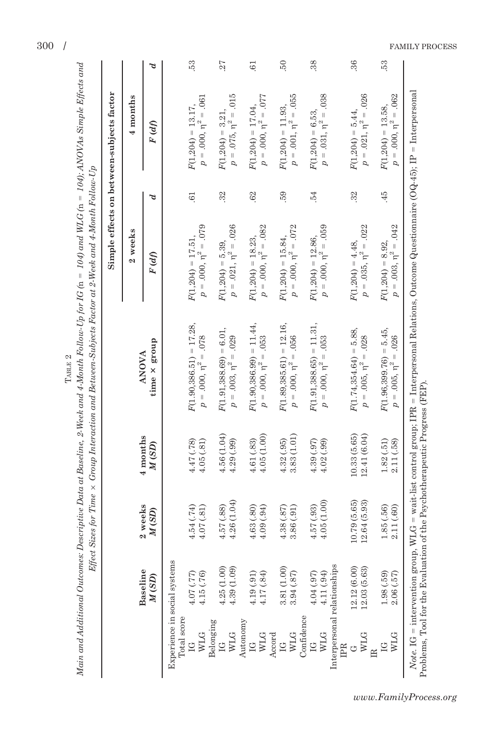|                                                                           |                                                         |                                     |                            |                                                                                                                                                 |                                                  |     | Simple effects on between-subjects factor         |                 |
|---------------------------------------------------------------------------|---------------------------------------------------------|-------------------------------------|----------------------------|-------------------------------------------------------------------------------------------------------------------------------------------------|--------------------------------------------------|-----|---------------------------------------------------|-----------------|
|                                                                           |                                                         |                                     |                            |                                                                                                                                                 | 2 weeks                                          |     | 4 months                                          |                 |
|                                                                           | <b>Baseline</b><br>M(SD)                                | 2 weeks<br>M(SD)                    | 4 months<br>M(SD)          | time × group<br><b>ANOVA</b>                                                                                                                    | F(d)                                             | ರ   | F(d)                                              | ರ               |
| <b>Total</b> score                                                        | Experience in social systems                            |                                     |                            |                                                                                                                                                 |                                                  |     |                                                   |                 |
| <b>WLG</b><br>$\overline{C}$                                              | 4.15 (.76)<br>4.07 (.77)                                | 4.54 (.74)<br>4.07 (.81)            | 4.47 (.78)<br>4.05 (.81)   | $F(1.90, 386.51) = 17.28,$<br>$p = .000, \eta^2 = .078$                                                                                         | $p = .000, \eta^2 = .079$<br>$F(1,204) = 17.51,$ | 61  | $p = .000, \eta^2 = .061$<br>$F(1,204) = 13.17,$  | 53              |
| Belonging<br><b>WLG</b><br>g                                              | 4.39(1.09)<br>4.25(1.00)                                | 4.26 (1.04)<br>4.57 (.88)           | 4.56 (1.04)<br>4.29(.99)   | $F(1.91, 388.69) = 6.01,$<br>$p = .003, \eta^2 = .029$                                                                                          | $p = .021, \eta^2 = .026$<br>$F(1,204) = 5.39,$  | 32  | $p = .075, \eta^2 = .015$<br>$F(1,204) = 3.21,$   | 27              |
| Autonomy<br><b>WLG</b><br>$\Xi$                                           | 4.19(0.91)<br>4.17 (.84)                                | 4.63(.80)<br>4.09(0.94)             | 4.05(1.00)<br>4.61 (.83)   | $F(1.90, 386.99) = 11.44,$<br>$p = .000, \eta^2 = .053$                                                                                         | $p = .000, \eta^2 = .082$<br>$F(1,204) = 18.23,$ | .62 | $p = .000, \eta^2 = .077$<br>$F(1,204) = 17.04,$  | .61             |
| <b>WLG</b><br>Accord<br>$\Box$                                            | 3.81 (1.00)<br>3.94 (.87)                               | 4.38 (.87)<br>3.86 (.91)            | 3.83(1.01)<br>4.32(.95)    | $F(1.89, 385.61) = 12.16$ ,<br>$p = .000, \eta^2 = .056$                                                                                        | $p = .000, \eta^2 = .072$<br>$F(1,204) = 15.84,$ | 59  | $p = .001, \eta^2 = .055$<br>$F(1,204) = 11.93,$  | $\overline{50}$ |
| Confidence<br><b>WLG</b><br>g                                             | Interpersonal relationships<br>4.04 (.97)<br>4.11 (.94) | 4.05(1.00)<br>4.57 (.93)            | 4.39 (.97)<br>4.02(.99)    | $F(1.91, 388.65) = 11.31,$<br>$p = .000, \eta^2 = .053$                                                                                         | $p = .000, \eta^2 = .059$<br>$F(1,204) = 12.86,$ | 54  | $p = .031, \eta^2 = .038$<br>$F(1,204) = 6.53,$   | 38              |
| <b>WLG</b><br>ĔŖ<br>Þ                                                     | 12.03 (5.63)<br>12.12(6.00)                             | $\frac{10.79 (5.65)}{12.64 (5.93)}$ | 10.33(5.65)<br>12.41(6.04) | $F(1.74, 354.64) = 5.88,$<br>$p = .005, \eta^2 = .028$                                                                                          | $p = .035, \eta^2 = .022$<br>$F(1,204) = 4.48,$  | 32  | $p = .021, \eta^2 = .026$<br>$F(1,204) = 5.44,$   | 36.             |
| WLG<br>$\Box$                                                             | 1.98(.59)<br>2.06(.57)                                  | 1.85 (.56)<br>2.11 (.60)            | 1.82(.51)<br>2.11(.58)     | $F(1.96, 399.76) = 5.45,$<br>$= .005, \eta^2 = .026$<br>$\overline{a}$                                                                          | $p = .003, \eta^2 = .042$<br>$F(1,204) = 8.92,$  | 45  | $p = .000, \eta^2 = .062$<br>$F(1,204) = 13.58$ , | 53              |
| Problems, Tool for the Evaluation of the Psychotherapeutic Progress (FEP) |                                                         |                                     |                            | Note $IG =$ intervention group, WLG = wait-list control group; IPR = Interpersonal Relations, Outcome Questionnaire (OQ-45); IP = Interpersonal |                                                  |     |                                                   |                 |

and 4-Month Follow-Up for IG ( $n = 104$ ) and WLG ( $n = 104$ ): ANOVAs Simple Effects and

300

TABLE 2

FAMILY PROCESS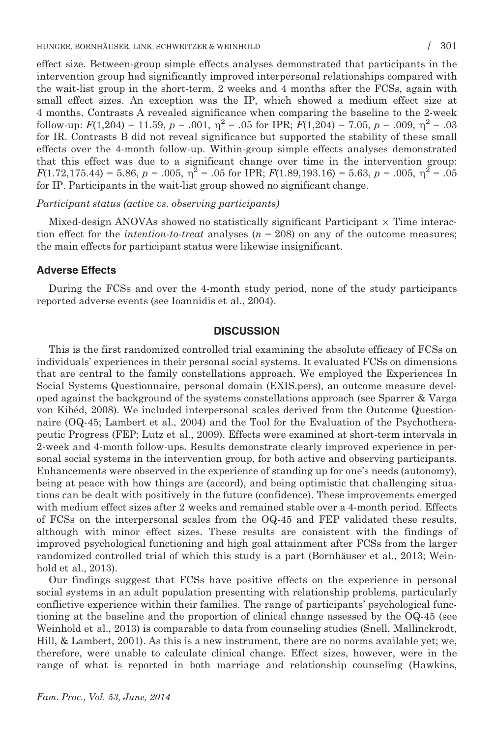effect size. Between-group simple effects analyses demonstrated that participants in the intervention group had significantly improved interpersonal relationships compared with the wait-list group in the short-term, 2 weeks and 4 months after the FCSs, again with small effect sizes. An exception was the IP, which showed a medium effect size at 4 months. Contrasts A revealed significance when comparing the baseline to the 2-week follow-up:  $F(1,204) = 11.59$ ,  $p = .001$ ,  $\eta^2 = .05$  for IPR;  $F(1,204) = 7.05$ ,  $p = .009$ ,  $\eta^2 = .03$ for IR. Contrasts B did not reveal significance but supported the stability of these small effects over the 4-month follow-up. Within-group simple effects analyses demonstrated that this effect was due to a significant change over time in the intervention group:  $F(1.72,175.44) = 5.86, p = .005, \eta^2 = .05$  for IPR;  $F(1.89,193.16) = 5.63, p = .005, \eta^2 = .05$ for IP. Participants in the wait-list group showed no significant change.

#### Participant status (active vs. observing participants)

Mixed-design ANOVAs showed no statistically significant Participant  $\times$  Time interaction effect for the *intention-to-treat* analyses ( $n = 208$ ) on any of the outcome measures; the main effects for participant status were likewise insignificant.

#### Adverse Effects

During the FCSs and over the 4-month study period, none of the study participants reported adverse events (see Ioannidis et al., 2004).

### **DISCUSSION**

This is the first randomized controlled trial examining the absolute efficacy of FCSs on individuals' experiences in their personal social systems. It evaluated FCSs on dimensions that are central to the family constellations approach. We employed the Experiences In Social Systems Questionnaire, personal domain (EXIS.pers), an outcome measure developed against the background of the systems constellations approach (see Sparrer & Varga von Kibéd, 2008). We included interpersonal scales derived from the Outcome Questionnaire (OQ-45; Lambert et al., 2004) and the Tool for the Evaluation of the Psychotherapeutic Progress (FEP; Lutz et al., 2009). Effects were examined at short-term intervals in 2-week and 4-month follow-ups. Results demonstrate clearly improved experience in personal social systems in the intervention group, for both active and observing participants. Enhancements were observed in the experience of standing up for one's needs (autonomy), being at peace with how things are (accord), and being optimistic that challenging situations can be dealt with positively in the future (confidence). These improvements emerged with medium effect sizes after 2 weeks and remained stable over a 4-month period. Effects of FCSs on the interpersonal scales from the OQ-45 and FEP validated these results, although with minor effect sizes. These results are consistent with the findings of improved psychological functioning and high goal attainment after FCSs from the larger randomized controlled trial of which this study is a part (Bornhäuser et al., 2013; Weinhold et al., 2013).

Our findings suggest that FCSs have positive effects on the experience in personal social systems in an adult population presenting with relationship problems, particularly conflictive experience within their families. The range of participants' psychological functioning at the baseline and the proportion of clinical change assessed by the OQ-45 (see Weinhold et al., 2013) is comparable to data from counseling studies (Snell, Mallinckrodt, Hill, & Lambert, 2001). As this is a new instrument, there are no norms available yet; we, therefore, were unable to calculate clinical change. Effect sizes, however, were in the range of what is reported in both marriage and relationship counseling (Hawkins,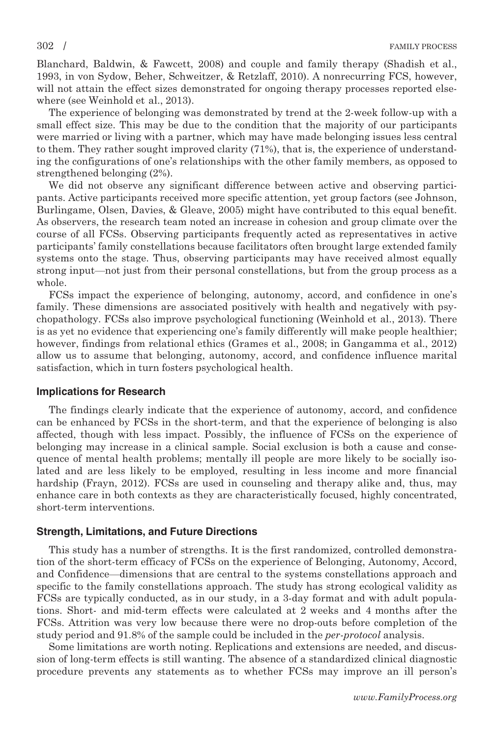Blanchard, Baldwin, & Fawcett, 2008) and couple and family therapy (Shadish et al., 1993, in von Sydow, Beher, Schweitzer, & Retzlaff, 2010). A nonrecurring FCS, however, will not attain the effect sizes demonstrated for ongoing therapy processes reported elsewhere (see Weinhold et al., 2013).

The experience of belonging was demonstrated by trend at the 2-week follow-up with a small effect size. This may be due to the condition that the majority of our participants were married or living with a partner, which may have made belonging issues less central to them. They rather sought improved clarity (71%), that is, the experience of understanding the configurations of one's relationships with the other family members, as opposed to strengthened belonging (2%).

We did not observe any significant difference between active and observing participants. Active participants received more specific attention, yet group factors (see Johnson, Burlingame, Olsen, Davies, & Gleave, 2005) might have contributed to this equal benefit. As observers, the research team noted an increase in cohesion and group climate over the course of all FCSs. Observing participants frequently acted as representatives in active participants' family constellations because facilitators often brought large extended family systems onto the stage. Thus, observing participants may have received almost equally strong input—not just from their personal constellations, but from the group process as a whole.

FCSs impact the experience of belonging, autonomy, accord, and confidence in one's family. These dimensions are associated positively with health and negatively with psychopathology. FCSs also improve psychological functioning (Weinhold et al., 2013). There is as yet no evidence that experiencing one's family differently will make people healthier; however, findings from relational ethics (Grames et al., 2008; in Gangamma et al., 2012) allow us to assume that belonging, autonomy, accord, and confidence influence marital satisfaction, which in turn fosters psychological health.

### Implications for Research

The findings clearly indicate that the experience of autonomy, accord, and confidence can be enhanced by FCSs in the short-term, and that the experience of belonging is also affected, though with less impact. Possibly, the influence of FCSs on the experience of belonging may increase in a clinical sample. Social exclusion is both a cause and consequence of mental health problems; mentally ill people are more likely to be socially isolated and are less likely to be employed, resulting in less income and more financial hardship (Frayn, 2012). FCSs are used in counseling and therapy alike and, thus, may enhance care in both contexts as they are characteristically focused, highly concentrated, short-term interventions.

### Strength, Limitations, and Future Directions

This study has a number of strengths. It is the first randomized, controlled demonstration of the short-term efficacy of FCSs on the experience of Belonging, Autonomy, Accord, and Confidence—dimensions that are central to the systems constellations approach and specific to the family constellations approach. The study has strong ecological validity as FCSs are typically conducted, as in our study, in a 3-day format and with adult populations. Short- and mid-term effects were calculated at 2 weeks and 4 months after the FCSs. Attrition was very low because there were no drop-outs before completion of the study period and 91.8% of the sample could be included in the per-protocol analysis.

Some limitations are worth noting. Replications and extensions are needed, and discussion of long-term effects is still wanting. The absence of a standardized clinical diagnostic procedure prevents any statements as to whether FCSs may improve an ill person's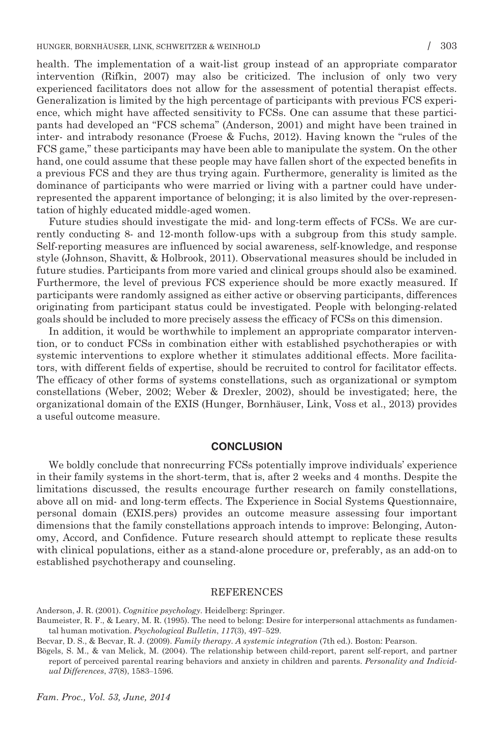health. The implementation of a wait-list group instead of an appropriate comparator intervention (Rifkin, 2007) may also be criticized. The inclusion of only two very experienced facilitators does not allow for the assessment of potential therapist effects. Generalization is limited by the high percentage of participants with previous FCS experience, which might have affected sensitivity to FCSs. One can assume that these participants had developed an "FCS schema" (Anderson, 2001) and might have been trained in inter- and intrabody resonance (Froese & Fuchs, 2012). Having known the "rules of the FCS game," these participants may have been able to manipulate the system. On the other hand, one could assume that these people may have fallen short of the expected benefits in a previous FCS and they are thus trying again. Furthermore, generality is limited as the dominance of participants who were married or living with a partner could have underrepresented the apparent importance of belonging; it is also limited by the over-representation of highly educated middle-aged women.

Future studies should investigate the mid- and long-term effects of FCSs. We are currently conducting 8- and 12-month follow-ups with a subgroup from this study sample. Self-reporting measures are influenced by social awareness, self-knowledge, and response style (Johnson, Shavitt, & Holbrook, 2011). Observational measures should be included in future studies. Participants from more varied and clinical groups should also be examined. Furthermore, the level of previous FCS experience should be more exactly measured. If participants were randomly assigned as either active or observing participants, differences originating from participant status could be investigated. People with belonging-related goals should be included to more precisely assess the efficacy of FCSs on this dimension.

In addition, it would be worthwhile to implement an appropriate comparator intervention, or to conduct FCSs in combination either with established psychotherapies or with systemic interventions to explore whether it stimulates additional effects. More facilitators, with different fields of expertise, should be recruited to control for facilitator effects. The efficacy of other forms of systems constellations, such as organizational or symptom constellations (Weber, 2002; Weber & Drexler, 2002), should be investigated; here, the organizational domain of the EXIS (Hunger, Bornhäuser, Link, Voss et al., 2013) provides a useful outcome measure.

#### **CONCLUSION**

We boldly conclude that nonrecurring FCSs potentially improve individuals' experience in their family systems in the short-term, that is, after 2 weeks and 4 months. Despite the limitations discussed, the results encourage further research on family constellations, above all on mid- and long-term effects. The Experience in Social Systems Questionnaire, personal domain (EXIS.pers) provides an outcome measure assessing four important dimensions that the family constellations approach intends to improve: Belonging, Autonomy, Accord, and Confidence. Future research should attempt to replicate these results with clinical populations, either as a stand-alone procedure or, preferably, as an add-on to established psychotherapy and counseling.

#### REFERENCES

Anderson, J. R. (2001). Cognitive psychology. Heidelberg: Springer.

Baumeister, R. F., & Leary, M. R. (1995). The need to belong: Desire for interpersonal attachments as fundamental human motivation. Psychological Bulletin, 117(3), 497–529.

Becvar, D. S., & Becvar, R. J. (2009). Family therapy. A systemic integration (7th ed.). Boston: Pearson.

Bögels, S. M., & van Melick, M. (2004). The relationship between child-report, parent self-report, and partner report of perceived parental rearing behaviors and anxiety in children and parents. Personality and Individual Differences, 37(8), 1583–1596.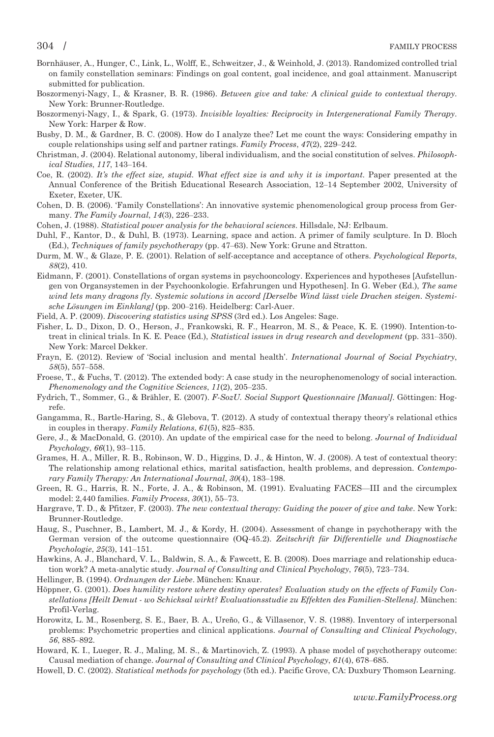- Bornhäuser, A., Hunger, C., Link, L., Wolff, E., Schweitzer, J., & Weinhold, J. (2013). Randomized controlled trial on family constellation seminars: Findings on goal content, goal incidence, and goal attainment. Manuscript submitted for publication.
- Boszormenyi-Nagy, I., & Krasner, B. R. (1986). Between give and take: A clinical guide to contextual therapy. New York: Brunner-Routledge.
- Boszormenyi-Nagy, I., & Spark, G. (1973). Invisible loyalties: Reciprocity in Intergenerational Family Therapy. New York: Harper & Row.
- Busby, D. M., & Gardner, B. C. (2008). How do I analyze thee? Let me count the ways: Considering empathy in couple relationships using self and partner ratings. Family Process, 47(2), 229–242.
- Christman, J. (2004). Relational autonomy, liberal individualism, and the social constitution of selves. Philosophical Studies, 117, 143–164.
- Coe, R. (2002). It's the effect size, stupid. What effect size is and why it is important. Paper presented at the Annual Conference of the British Educational Research Association, 12–14 September 2002, University of Exeter, Exeter, UK.
- Cohen, D. B. (2006). 'Family Constellations': An innovative systemic phenomenological group process from Germany. *The Family Journal*, 14(3), 226–233.
- Cohen, J. (1988). Statistical power analysis for the behavioral sciences. Hillsdale, NJ: Erlbaum.
- Duhl, F., Kantor, D., & Duhl, B. (1973). Learning, space and action. A primer of family sculpture. In D. Bloch (Ed.), Techniques of family psychotherapy (pp. 47–63). New York: Grune and Stratton.
- Durm, M. W., & Glaze, P. E. (2001). Relation of self-acceptance and acceptance of others. Psychological Reports, 88(2), 410.
- Eidmann, F. (2001). Constellations of organ systems in psychooncology. Experiences and hypotheses [Aufstellungen von Organsystemen in der Psychoonkologie. Erfahrungen und Hypothesen]. In G. Weber (Ed.), The same wind lets many dragons fly. Systemic solutions in accord [Derselbe Wind lässt viele Drachen steigen. Systemische Lösungen im Einklang] (pp. 200–216). Heidelberg: Carl-Auer.
- Field, A. P. (2009). Discovering statistics using SPSS (3rd ed.). Los Angeles: Sage.
- Fisher, L. D., Dixon, D. O., Herson, J., Frankowski, R. F., Hearron, M. S., & Peace, K. E. (1990). Intention-totreat in clinical trials. In K. E. Peace (Ed.), Statistical issues in drug research and development (pp. 331–350). New York: Marcel Dekker.
- Frayn, E. (2012). Review of 'Social inclusion and mental health'. International Journal of Social Psychiatry,  $58(5)$ ,  $557-558$ .
- Froese, T., & Fuchs, T. (2012). The extended body: A case study in the neurophenomenology of social interaction. Phenomenology and the Cognitive Sciences, 11(2), 205–235.
- Fydrich, T., Sommer, G., & Brähler, E. (2007). F-SozU. Social Support Questionnaire [Manual]. Göttingen: Hogrefe.
- Gangamma, R., Bartle-Haring, S., & Glebova, T. (2012). A study of contextual therapy theory's relational ethics in couples in therapy. Family Relations, 61(5), 825–835.
- Gere, J., & MacDonald, G. (2010). An update of the empirical case for the need to belong. Journal of Individual Psychology, 66(1), 93–115.
- Grames, H. A., Miller, R. B., Robinson, W. D., Higgins, D. J., & Hinton, W. J. (2008). A test of contextual theory: The relationship among relational ethics, marital satisfaction, health problems, and depression. Contemporary Family Therapy: An International Journal, 30(4), 183–198.
- Green, R. G., Harris, R. N., Forte, J. A., & Robinson, M. (1991). Evaluating FACES—III and the circumplex model: 2,440 families. Family Process, 30(1), 55–73.
- Hargrave, T. D., & Pfitzer, F. (2003). The new contextual therapy: Guiding the power of give and take. New York: Brunner-Routledge.
- Haug, S., Puschner, B., Lambert, M. J., & Kordy, H. (2004). Assessment of change in psychotherapy with the German version of the outcome questionnaire (OQ-45.2). Zeitschrift für Differentielle und Diagnostische Psychologie, 25(3), 141–151.
- Hawkins, A. J., Blanchard, V. L., Baldwin, S. A., & Fawcett, E. B. (2008). Does marriage and relationship education work? A meta-analytic study. Journal of Consulting and Clinical Psychology, 76(5), 723–734.
- Hellinger, B. (1994). Ordnungen der Liebe. München: Knaur.
- Höppner, G. (2001). Does humility restore where destiny operates? Evaluation study on the effects of Family Constellations [Heilt Demut - wo Schicksal wirkt? Evaluationsstudie zu Effekten des Familien-Stellens]. München: Profil-Verlag.
- Horowitz, L. M., Rosenberg, S. E., Baer, B. A., Ureño, G., & Villasenor, V. S. (1988). Inventory of interpersonal problems: Psychometric properties and clinical applications. Journal of Consulting and Clinical Psychology, 56, 885–892.
- Howard, K. I., Lueger, R. J., Maling, M. S., & Martinovich, Z. (1993). A phase model of psychotherapy outcome: Causal mediation of change. Journal of Consulting and Clinical Psychology, 61(4), 678–685.
- Howell, D. C. (2002). Statistical methods for psychology (5th ed.). Pacific Grove, CA: Duxbury Thomson Learning.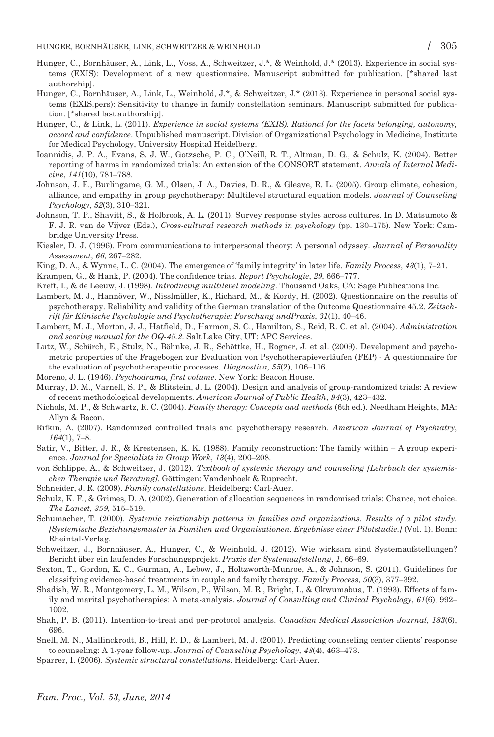- Hunger, C., Bornhäuser, A., Link, L., Voss, A., Schweitzer, J.\*, & Weinhold, J.\* (2013). Experience in social systems (EXIS): Development of a new questionnaire. Manuscript submitted for publication. [\*shared last authorship].
- Hunger, C., Bornhäuser, A., Link, L., Weinhold, J.\*, & Schweitzer, J.\* (2013). Experience in personal social systems (EXIS.pers): Sensitivity to change in family constellation seminars. Manuscript submitted for publication. [\*shared last authorship].
- Hunger, C., & Link, L. (2011). Experience in social systems (EXIS). Rational for the facets belonging, autonomy, accord and confidence. Unpublished manuscript. Division of Organizational Psychology in Medicine, Institute for Medical Psychology, University Hospital Heidelberg.
- Ioannidis, J. P. A., Evans, S. J. W., Gotzsche, P. C., O'Neill, R. T., Altman, D. G., & Schulz, K. (2004). Better reporting of harms in randomized trials: An extension of the CONSORT statement. Annals of Internal Medicine, 141(10), 781–788.
- Johnson, J. E., Burlingame, G. M., Olsen, J. A., Davies, D. R., & Gleave, R. L. (2005). Group climate, cohesion, alliance, and empathy in group psychotherapy: Multilevel structural equation models. Journal of Counseling Psychology, 52(3), 310–321.
- Johnson, T. P., Shavitt, S., & Holbrook, A. L. (2011). Survey response styles across cultures. In D. Matsumoto & F. J. R. van de Vijver (Eds.), Cross-cultural research methods in psychology (pp. 130–175). New York: Cambridge University Press.
- Kiesler, D. J. (1996). From communications to interpersonal theory: A personal odyssey. Journal of Personality Assessment, 66, 267–282.
- King, D. A., & Wynne, L. C. (2004). The emergence of 'family integrity' in later life. Family Process, 43(1), 7–21.
- Krampen, G., & Hank, P. (2004). The confidence trias. Report Psychologie, 29, 666–777.
- Kreft, I., & de Leeuw, J. (1998). Introducing multilevel modeling. Thousand Oaks, CA: Sage Publications Inc.
- Lambert, M. J., Hannöver, W., Nisslmüller, K., Richard, M., & Kordy, H. (2002). Questionnaire on the results of psychotherapy. Reliability and validity of the German translation of the Outcome Questionnaire 45.2. Zeitschrift für Klinische Psychologie und Psychotherapie: Forschung undPraxis, 31(1), 40–46.
- Lambert, M. J., Morton, J. J., Hatfield, D., Harmon, S. C., Hamilton, S., Reid, R. C. et al. (2004). Administration and scoring manual for the OQ-45.2. Salt Lake City, UT: APC Services.
- Lutz, W., Schürch, E., Stulz, N., Böhnke, J. R., Schöttke, H., Rogner, J. et al. (2009). Development and psychometric properties of the Fragebogen zur Evaluation von Psychotherapieverläufen (FEP) - A questionnaire for the evaluation of psychotherapeutic processes. Diagnostica, 55(2), 106–116.
- Moreno, J. L. (1946). Psychodrama, first volume. New York: Beacon House.
- Murray, D. M., Varnell, S. P., & Blitstein, J. L. (2004). Design and analysis of group-randomized trials: A review of recent methodological developments. American Journal of Public Health, 94(3), 423–432.
- Nichols, M. P., & Schwartz, R. C. (2004). Family therapy: Concepts and methods (6th ed.). Needham Heights, MA: Allyn & Bacon.
- Rifkin, A. (2007). Randomized controlled trials and psychotherapy research. American Journal of Psychiatry,  $164(1)$ , 7-8.
- Satir, V., Bitter, J. R., & Krestensen, K. K. (1988). Family reconstruction: The family within A group experience. Journal for Specialists in Group Work, 13(4), 200–208.
- von Schlippe, A., & Schweitzer, J. (2012). Textbook of systemic therapy and counseling [Lehrbuch der systemischen Therapie und Beratung]. Göttingen: Vandenhoek & Ruprecht.
- Schneider, J. R. (2009). Family constellations. Heidelberg: Carl-Auer.
- Schulz, K. F., & Grimes, D. A. (2002). Generation of allocation sequences in randomised trials: Chance, not choice. The Lancet, 359, 515–519.
- Schumacher, T. (2000). Systemic relationship patterns in families and organizations. Results of a pilot study. [Systemische Beziehungsmuster in Familien und Organisationen. Ergebnisse einer Pilotstudie.] (Vol. 1). Bonn: Rheintal-Verlag.
- Schweitzer, J., Bornhäuser, A., Hunger, C., & Weinhold, J. (2012). Wie wirksam sind Systemaufstellungen? Bericht über ein laufendes Forschungsprojekt. Praxis der Systemaufstellung, 1, 66–69.
- Sexton, T., Gordon, K. C., Gurman, A., Lebow, J., Holtzworth-Munroe, A., & Johnson, S. (2011). Guidelines for classifying evidence-based treatments in couple and family therapy. Family Process, 50(3), 377–392.
- Shadish, W. R., Montgomery, L. M., Wilson, P., Wilson, M. R., Bright, I., & Okwumabua, T. (1993). Effects of family and marital psychotherapies: A meta-analysis. Journal of Consulting and Clinical Psychology, 61(6), 992– 1002.
- Shah, P. B. (2011). Intention-to-treat and per-protocol analysis. Canadian Medical Association Journal, 183(6), 696.
- Snell, M. N., Mallinckrodt, B., Hill, R. D., & Lambert, M. J. (2001). Predicting counseling center clients' response to counseling: A 1-year follow-up. Journal of Counseling Psychology, 48(4), 463–473.
- Sparrer, I. (2006). Systemic structural constellations. Heidelberg: Carl-Auer.